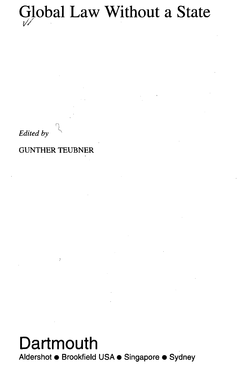## Global Law Without a State /

*Edited by*

GUNTHER TEUBNER

 $\overline{\overline{z}}$ 

## **Dartmouth** Aldershot • Brookfield USA • Singapore • Sydney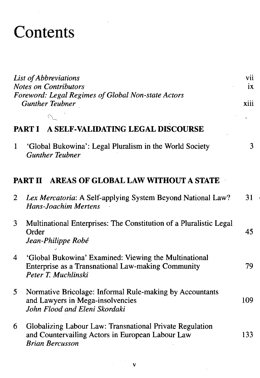## **Contents**

| List of Abbreviations |                                                                                                                                        | V11  |  |
|-----------------------|----------------------------------------------------------------------------------------------------------------------------------------|------|--|
|                       | <b>Notes on Contributors</b>                                                                                                           |      |  |
|                       | Foreword: Legal Regimes of Global Non-state Actors<br><b>Gunther Teubner</b>                                                           | xiii |  |
|                       |                                                                                                                                        |      |  |
|                       | A SELF-VALIDATING LEGAL DISCOURSE<br><b>PART I</b>                                                                                     |      |  |
| 1                     | 'Global Bukowina': Legal Pluralism in the World Society<br><b>Gunther Teubner</b>                                                      | 3    |  |
|                       | AREAS OF GLOBAL LAW WITHOUT A STATE<br><b>PART II</b>                                                                                  |      |  |
| $\overline{c}$        | Lex Mercatoria: A Self-applying System Beyond National Law?<br><b>Hans-Joachim Mertens</b>                                             | 31   |  |
| 3                     | Multinational Enterprises: The Constitution of a Pluralistic Legal<br>Order<br>Jean-Philippe Robé                                      | 45   |  |
| 4                     | 'Global Bukowina' Examined: Viewing the Multinational<br>Enterprise as a Transnational Law-making Community<br>Peter T. Muchlinski     | 79   |  |
| 5                     | Normative Bricolage: Informal Rule-making by Accountants<br>and Lawyers in Mega-insolvencies<br>John Flood and Eleni Skordaki          | 109  |  |
| 6                     | Globalizing Labour Law: Transnational Private Regulation<br>and Countervailing Actors in European Labour Law<br><b>Brian Bercusson</b> | 133  |  |